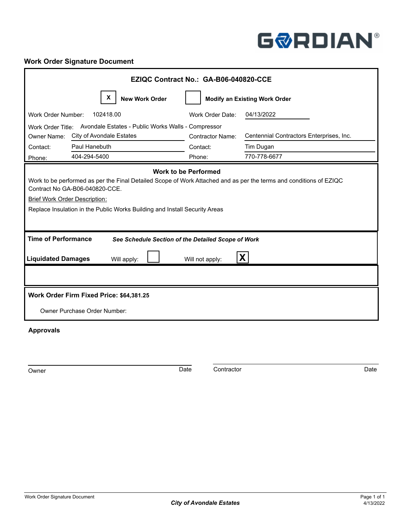# **GØRDIAN®**

## **Work Order Signature Document**

| EZIQC Contract No.: GA-B06-040820-CCE                                                                                                                                                                                                                                                                     |                                               |                                                                       |  |  |  |  |  |  |
|-----------------------------------------------------------------------------------------------------------------------------------------------------------------------------------------------------------------------------------------------------------------------------------------------------------|-----------------------------------------------|-----------------------------------------------------------------------|--|--|--|--|--|--|
| X<br><b>New Work Order</b>                                                                                                                                                                                                                                                                                | <b>Modify an Existing Work Order</b>          |                                                                       |  |  |  |  |  |  |
| 102418.00<br>Work Order Number:                                                                                                                                                                                                                                                                           | Work Order Date:                              | 04/13/2022                                                            |  |  |  |  |  |  |
| Work Order Title: Avondale Estates - Public Works Walls - Compressor<br>City of Avondale Estates<br>Owner Name:<br>Paul Hanebuth<br>Contact:<br>404-294-5400<br>Phone:                                                                                                                                    | <b>Contractor Name:</b><br>Contact:<br>Phone: | Centennial Contractors Enterprises, Inc.<br>Tim Dugan<br>770-778-6677 |  |  |  |  |  |  |
| <b>Work to be Performed</b><br>Work to be performed as per the Final Detailed Scope of Work Attached and as per the terms and conditions of EZIQC<br>Contract No GA-B06-040820-CCE.<br><b>Brief Work Order Description:</b><br>Replace Insulation in the Public Works Building and Install Security Areas |                                               |                                                                       |  |  |  |  |  |  |
| <b>Time of Performance</b><br>See Schedule Section of the Detailed Scope of Work                                                                                                                                                                                                                          |                                               |                                                                       |  |  |  |  |  |  |
| <b>Liquidated Damages</b><br>Will apply:                                                                                                                                                                                                                                                                  | Will not apply:                               | $\mathbf{X}$                                                          |  |  |  |  |  |  |
|                                                                                                                                                                                                                                                                                                           |                                               |                                                                       |  |  |  |  |  |  |
| Work Order Firm Fixed Price: \$64,381.25                                                                                                                                                                                                                                                                  |                                               |                                                                       |  |  |  |  |  |  |
| Owner Purchase Order Number:                                                                                                                                                                                                                                                                              |                                               |                                                                       |  |  |  |  |  |  |
| <b>Approvals</b>                                                                                                                                                                                                                                                                                          |                                               |                                                                       |  |  |  |  |  |  |

Owner **Contractor** Date Contractor Contractor **Date** Contractor Date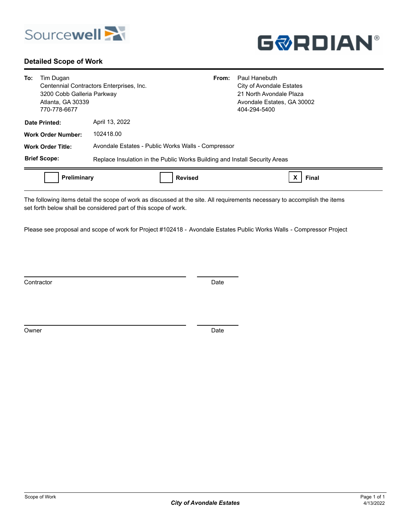

#### **Detailed Scope of Work**



| To: | Tim Dugan<br>3200 Cobb Galleria Parkway<br>Atlanta, GA 30339<br>770-778-6677 | Paul Hanebuth<br>From:<br>City of Avondale Estates<br>Centennial Contractors Enterprises, Inc.<br>21 North Avondale Plaza<br>Avondale Estates, GA 30002<br>404-294-5400 |
|-----|------------------------------------------------------------------------------|-------------------------------------------------------------------------------------------------------------------------------------------------------------------------|
|     | Date Printed:                                                                | April 13, 2022                                                                                                                                                          |
|     | <b>Work Order Number:</b>                                                    | 102418.00                                                                                                                                                               |
|     | <b>Work Order Title:</b>                                                     | Avondale Estates - Public Works Walls - Compressor                                                                                                                      |
|     | <b>Brief Scope:</b>                                                          | Replace Insulation in the Public Works Building and Install Security Areas                                                                                              |
|     | Preliminary                                                                  | <b>Revised</b><br>Final                                                                                                                                                 |

The following items detail the scope of work as discussed at the site. All requirements necessary to accomplish the items set forth below shall be considered part of this scope of work.

Please see proposal and scope of work for Project #102418 - Avondale Estates Public Works Walls - Compressor Project

Contractor Date **Date** 

Owner Date Date Communications and the Date Date Date Date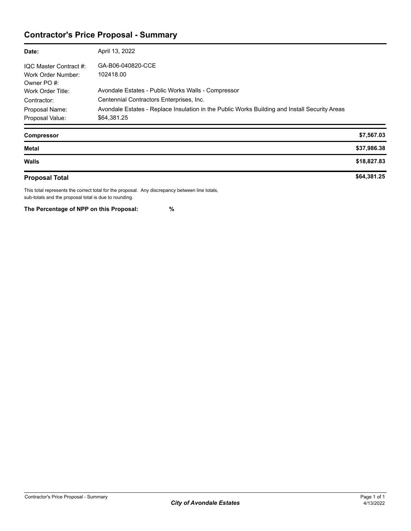## **Contractor's Price Proposal - Summary**

| Date:                                                       | April 13, 2022                                                                                               |
|-------------------------------------------------------------|--------------------------------------------------------------------------------------------------------------|
| IQC Master Contract #:<br>Work Order Number:<br>Owner PO #: | GA-B06-040820-CCE<br>102418.00                                                                               |
| Work Order Title:                                           | Avondale Estates - Public Works Walls - Compressor                                                           |
| Contractor:                                                 | Centennial Contractors Enterprises, Inc.                                                                     |
| Proposal Name:<br>Proposal Value:                           | Avondale Estates - Replace Insulation in the Public Works Building and Install Security Areas<br>\$64,381.25 |

| <b>Compressor</b>     | \$7,567.03  |
|-----------------------|-------------|
| <b>Metal</b>          | \$37,986.38 |
| <b>Walls</b>          | \$18,827.83 |
| <b>Proposal Total</b> | \$64,381.25 |

This total represents the correct total for the proposal. Any discrepancy between line totals, sub-totals and the proposal total is due to rounding.

**The Percentage of NPP on this Proposal: %**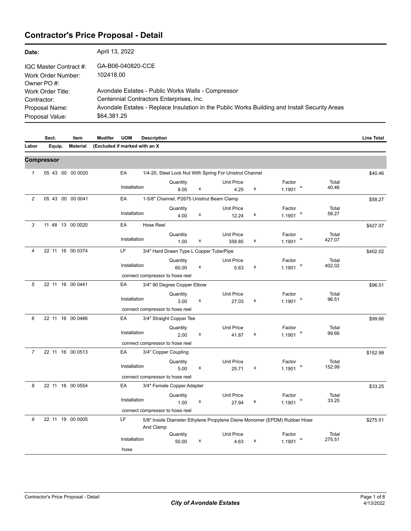# **Contractor's Price Proposal - Detail**

| Date:                                          | April 13, 2022                                                                                 |
|------------------------------------------------|------------------------------------------------------------------------------------------------|
| IQC Master Contract #:                         | GA-B06-040820-CCE                                                                              |
| Work Order Number:                             | 102418.00                                                                                      |
| Owner PO#:<br>Work Order Title:<br>Contractor: | Avondale Estates - Public Works Walls - Compressor<br>Centennial Contractors Enterprises, Inc. |
| Proposal Name:                                 | Avondale Estates - Replace Insulation in the Public Works Building and Install Security Areas  |
| Proposal Value:                                | \$64,381.25                                                                                    |

|                | Sect.             | Item             | <b>Modifer</b>                | <b>UOM</b>         | <b>Description</b>              |                                              |   |                                                         |   |                                                                          |                 | <b>Line Total</b> |
|----------------|-------------------|------------------|-------------------------------|--------------------|---------------------------------|----------------------------------------------|---|---------------------------------------------------------|---|--------------------------------------------------------------------------|-----------------|-------------------|
| Labor          | Equip.            | <b>Material</b>  | (Excluded if marked with an X |                    |                                 |                                              |   |                                                         |   |                                                                          |                 |                   |
|                | <b>Compressor</b> |                  |                               |                    |                                 |                                              |   |                                                         |   |                                                                          |                 |                   |
| $\mathcal I$   |                   | 05 43 00 00 0020 |                               | EA                 |                                 |                                              |   | 1/4-20, Steel Lock Nut With Spring For Unistrut Channel |   |                                                                          |                 | \$40.46           |
|                |                   |                  |                               | Installation       |                                 | Quantity<br>8.00                             | x | <b>Unit Price</b><br>4.25                               | x | Factor<br>1.1901                                                         | Total<br>40.46  |                   |
| 2              |                   | 05 43 00 00 0041 |                               | EA                 |                                 | 1-5/8" Channel, P2675 Unistrut Beam Clamp    |   |                                                         |   |                                                                          |                 | \$58.27           |
|                |                   |                  |                               | Installation       |                                 | Quantity<br>4.00                             | x | <b>Unit Price</b><br>12.24                              | x | Factor<br>Ξ<br>1.1901                                                    | Total<br>58.27  |                   |
| 3              |                   | 11 48 13 00 0020 |                               | EA                 | <b>Hose Reel</b>                |                                              |   |                                                         |   |                                                                          |                 | \$427.07          |
|                |                   |                  |                               | Installation       |                                 | Quantity<br>1.00                             | x | <b>Unit Price</b><br>358.85                             | x | Factor<br>Ξ<br>1.1901                                                    | Total<br>427.07 |                   |
| 4              |                   | 22 11 16 00 0374 |                               | LF                 |                                 | 3/4" Hard Drawn Type L Copper Tube/Pipe      |   |                                                         |   |                                                                          |                 | \$402.02          |
|                |                   |                  |                               | Installation       |                                 | Quantity<br>60.00                            | x | Unit Price<br>5.63                                      | x | Factor<br>$1.1901$ =                                                     | Total<br>402.02 |                   |
|                |                   |                  |                               |                    | connect compressor to hose reel |                                              |   |                                                         |   |                                                                          |                 |                   |
| 5              |                   | 22 11 16 00 0441 |                               | EA                 |                                 | 3/4" 90 Degree Copper Elbow                  |   |                                                         |   |                                                                          |                 | \$96.51           |
|                |                   |                  |                               | Installation       |                                 | Quantity<br>3.00                             | x | <b>Unit Price</b><br>27.03                              | x | Factor<br>Ξ<br>1.1901                                                    | Total<br>96.51  |                   |
|                |                   |                  |                               |                    | connect compressor to hose reel |                                              |   |                                                         |   |                                                                          |                 |                   |
| 6              |                   | 22 11 16 00 0486 |                               | EA<br>Installation | connect compressor to hose reel | 3/4" Straight Copper Tee<br>Quantity<br>2.00 | x | <b>Unit Price</b><br>41.87                              | x | Factor<br>Ξ<br>1.1901                                                    | Total<br>99.66  | \$99.66           |
| $\overline{7}$ |                   | 22 11 16 00 0513 |                               | EA                 |                                 | 3/4" Copper Coupling                         |   |                                                         |   |                                                                          |                 | \$152.99          |
|                |                   |                  |                               | Installation       |                                 | Quantity<br>5.00                             | х | <b>Unit Price</b><br>25.71                              | x | Factor<br>Ξ<br>1.1901                                                    | Total<br>152.99 |                   |
|                |                   |                  |                               |                    | connect compressor to hose reel |                                              |   |                                                         |   |                                                                          |                 |                   |
| 8              |                   | 22 11 16 00 0554 |                               | EA                 |                                 | 3/4" Female Copper Adapter                   |   |                                                         |   |                                                                          |                 | \$33.25           |
|                |                   |                  |                               | Installation       |                                 | Quantity<br>1.00                             | х | <b>Unit Price</b><br>27.94                              | x | Factor<br>Ξ<br>1.1901                                                    | Total<br>33.25  |                   |
|                |                   |                  |                               |                    | connect compressor to hose reel |                                              |   |                                                         |   |                                                                          |                 |                   |
| 9              |                   | 22 11 19 00 0005 |                               | LF                 | And Clamp                       |                                              |   |                                                         |   | 5/8" Inside Diameter Ethylene Propylene Diene Monomer (EPDM) Rubber Hose |                 | \$275.51          |
|                |                   |                  |                               | Installation       |                                 | Quantity<br>50.00                            | x | <b>Unit Price</b><br>4.63                               | x | Factor<br>1.1901                                                         | Total<br>275.51 |                   |
|                |                   |                  |                               | hose               |                                 |                                              |   |                                                         |   |                                                                          |                 |                   |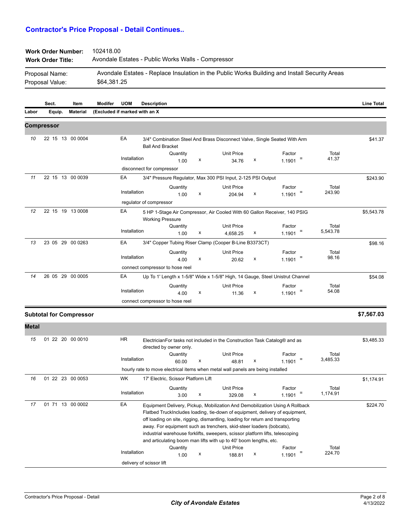| <b>Work Order Number:</b><br><b>Work Order Title:</b> | 102418.00<br>Avondale Estates - Public Works Walls - Compressor                               |
|-------------------------------------------------------|-----------------------------------------------------------------------------------------------|
| Proposal Name:                                        | Avondale Estates - Replace Insulation in the Public Works Building and Install Security Areas |
| Proposal Value:                                       | \$64,381.25                                                                                   |

|              | Sect.      | Item                           | Modifer                       | <b>UOM</b>   | <b>Description</b>        |                                         |   |                                                                                                                                                                                                                                                                                                              |   |                                                                                                                                                              |                   | <b>Line Total</b> |
|--------------|------------|--------------------------------|-------------------------------|--------------|---------------------------|-----------------------------------------|---|--------------------------------------------------------------------------------------------------------------------------------------------------------------------------------------------------------------------------------------------------------------------------------------------------------------|---|--------------------------------------------------------------------------------------------------------------------------------------------------------------|-------------------|-------------------|
| Labor        | Equip.     | <b>Material</b>                | (Excluded if marked with an X |              |                           |                                         |   |                                                                                                                                                                                                                                                                                                              |   |                                                                                                                                                              |                   |                   |
|              | Compressor |                                |                               |              |                           |                                         |   |                                                                                                                                                                                                                                                                                                              |   |                                                                                                                                                              |                   |                   |
| 10           |            | 22 15 13 00 0004               |                               | EA           | <b>Ball And Bracket</b>   |                                         |   |                                                                                                                                                                                                                                                                                                              |   | 3/4" Combination Steel And Brass Disconnect Valve, Single Seated With Arm                                                                                    |                   | \$41.37           |
|              |            |                                |                               |              |                           | Quantity                                |   | <b>Unit Price</b>                                                                                                                                                                                                                                                                                            |   | Factor                                                                                                                                                       | Total             |                   |
|              |            |                                |                               | Installation |                           | 1.00                                    | х | 34.76                                                                                                                                                                                                                                                                                                        | x | 1.1901                                                                                                                                                       | 41.37             |                   |
|              |            |                                |                               |              | disconnect for compressor |                                         |   |                                                                                                                                                                                                                                                                                                              |   |                                                                                                                                                              |                   |                   |
| 11           |            | 22 15 13 00 0039               |                               | EA           |                           |                                         |   | 3/4" Pressure Regulator, Max 300 PSI Input, 2-125 PSI Output                                                                                                                                                                                                                                                 |   |                                                                                                                                                              |                   | \$243.90          |
|              |            |                                |                               | Installation |                           | Quantity                                |   | <b>Unit Price</b>                                                                                                                                                                                                                                                                                            |   | Factor                                                                                                                                                       | Total<br>243.90   |                   |
|              |            |                                |                               |              | regulator of compressor   | 1.00                                    | x | 204.94                                                                                                                                                                                                                                                                                                       | х | 1.1901                                                                                                                                                       |                   |                   |
| 12           |            | 22 15 19 13 0008               |                               | EA           | <b>Working Pressure</b>   |                                         |   |                                                                                                                                                                                                                                                                                                              |   | 5 HP 1-Stage Air Compressor, Air Cooled With 60 Gallon Receiver, 140 PSIG                                                                                    |                   | \$5,543.78        |
|              |            |                                |                               |              |                           | Quantity                                |   | Unit Price                                                                                                                                                                                                                                                                                                   |   | Factor                                                                                                                                                       | Total             |                   |
|              |            |                                |                               | Installation |                           | 1.00                                    | x | 4,658.25                                                                                                                                                                                                                                                                                                     | x | 1.1901                                                                                                                                                       | 5,543.78          |                   |
| 13           |            | 23 05 29 00 0263               |                               | EA           |                           |                                         |   | 3/4" Copper Tubing Riser Clamp (Cooper B-Line B3373CT)                                                                                                                                                                                                                                                       |   |                                                                                                                                                              |                   | \$98.16           |
|              |            |                                |                               |              |                           | Quantity                                |   | <b>Unit Price</b>                                                                                                                                                                                                                                                                                            |   | Factor                                                                                                                                                       | Total             |                   |
|              |            |                                |                               | Installation |                           | 4.00                                    | x | 20.62                                                                                                                                                                                                                                                                                                        | х | 1.1901                                                                                                                                                       | 98.16             |                   |
|              |            |                                |                               |              |                           | connect compressor to hose reel         |   |                                                                                                                                                                                                                                                                                                              |   |                                                                                                                                                              |                   |                   |
| 14           |            | 26 05 29 00 0005               |                               | EA           |                           |                                         |   |                                                                                                                                                                                                                                                                                                              |   | Up To 1' Length x 1-5/8" Wide x 1-5/8" High, 14 Gauge, Steel Unistrut Channel                                                                                |                   | \$54.08           |
|              |            |                                |                               | Installation |                           | Quantity                                | x | Unit Price                                                                                                                                                                                                                                                                                                   | x | Factor<br>Ξ                                                                                                                                                  | Total<br>54.08    |                   |
|              |            |                                |                               |              |                           | 4.00<br>connect compressor to hose reel |   | 11.36                                                                                                                                                                                                                                                                                                        |   | 1.1901                                                                                                                                                       |                   |                   |
|              |            |                                |                               |              |                           |                                         |   |                                                                                                                                                                                                                                                                                                              |   |                                                                                                                                                              |                   |                   |
|              |            | <b>Subtotal for Compressor</b> |                               |              |                           |                                         |   |                                                                                                                                                                                                                                                                                                              |   |                                                                                                                                                              |                   | \$7,567.03        |
| <b>Metal</b> |            |                                |                               |              |                           |                                         |   |                                                                                                                                                                                                                                                                                                              |   |                                                                                                                                                              |                   |                   |
| 15           |            | 01 22 20 00 0010               |                               | HR           |                           | directed by owner only.                 |   | Electrician For tasks not included in the Construction Task Catalog <sup>®</sup> and as                                                                                                                                                                                                                      |   |                                                                                                                                                              |                   | \$3,485.33        |
|              |            |                                |                               | Installation |                           | Quantity                                |   | Unit Price                                                                                                                                                                                                                                                                                                   |   | Factor                                                                                                                                                       | Total<br>3,485.33 |                   |
|              |            |                                |                               |              |                           | 60.00                                   | x | 48.81                                                                                                                                                                                                                                                                                                        | x | 1.1901                                                                                                                                                       |                   |                   |
|              |            |                                |                               |              |                           |                                         |   | hourly rate to move electrical items when metal wall panels are being installed                                                                                                                                                                                                                              |   |                                                                                                                                                              |                   |                   |
| 16           |            | 01 22 23 00 0053               |                               | <b>WK</b>    |                           | 17' Electric, Scissor Platform Lift     |   |                                                                                                                                                                                                                                                                                                              |   |                                                                                                                                                              |                   | \$1,174.91        |
|              |            |                                |                               | Installation |                           | Quantity<br>3.00                        | х | <b>Unit Price</b><br>329.08                                                                                                                                                                                                                                                                                  | х | Factor<br>1.1901                                                                                                                                             | Total<br>1,174.91 |                   |
|              |            |                                |                               |              |                           |                                         |   |                                                                                                                                                                                                                                                                                                              |   |                                                                                                                                                              |                   |                   |
| 17           |            | 01 71 13 00 0002               |                               | EA           |                           |                                         |   | off loading on site, rigging, dismantling, loading for return and transporting<br>away. For equipment such as trenchers, skid-steer loaders (bobcats),<br>industrial warehouse forklifts, sweepers, scissor platform lifts, telescoping<br>and articulating boom man lifts with up to 40' boom lengths, etc. |   | Equipment Delivery, Pickup, Mobilization And Demobilization Using A Rollback<br>Flatbed TruckIncludes loading, tie-down of equipment, delivery of equipment, |                   | \$224.70          |
|              |            |                                |                               | Installation |                           | Quantity<br>1.00                        | х | Unit Price<br>188.81                                                                                                                                                                                                                                                                                         | х | Factor<br>1.1901                                                                                                                                             | Total<br>224.70   |                   |

delivery of scissor lift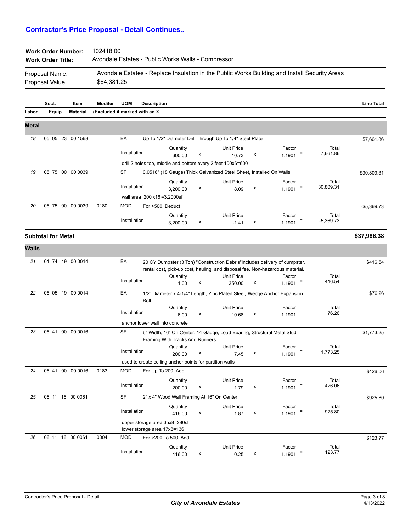| <b>Work Order Number:</b> | 102418.00                                          |
|---------------------------|----------------------------------------------------|
| <b>Work Order Title:</b>  | Avondale Estates - Public Works Walls - Compressor |

| Proposal Name:  | Avondale Estates - Replace Insulation in the Public Works Building and Install Security Areas |
|-----------------|-----------------------------------------------------------------------------------------------|
| Proposal Value: | \$64.381.25                                                                                   |

|              | Sect.                     | Item            | <b>Modifer</b>                | <b>UOM</b>   | <b>Description</b>                                           |                                 |   |                                                                        |   |                                                                                                                                                              |                      | <b>Line Total</b> |
|--------------|---------------------------|-----------------|-------------------------------|--------------|--------------------------------------------------------------|---------------------------------|---|------------------------------------------------------------------------|---|--------------------------------------------------------------------------------------------------------------------------------------------------------------|----------------------|-------------------|
| Labor        | Equip.                    | <b>Material</b> | (Excluded if marked with an X |              |                                                              |                                 |   |                                                                        |   |                                                                                                                                                              |                      |                   |
| <b>Metal</b> |                           |                 |                               |              |                                                              |                                 |   |                                                                        |   |                                                                                                                                                              |                      |                   |
| 18           | 05 05 23 00 1568          |                 |                               | EA           |                                                              |                                 |   | Up To 1/2" Diameter Drill Through Up To 1/4" Steel Plate               |   |                                                                                                                                                              |                      | \$7,661.86        |
|              |                           |                 |                               | Installation |                                                              | Quantity<br>600.00              | x | <b>Unit Price</b><br>10.73                                             | x | Factor<br>$\equiv$<br>1.1901                                                                                                                                 | Total<br>7,661.86    |                   |
|              |                           |                 |                               |              |                                                              |                                 |   | drill 2 holes top, middle and bottom every 2 feet 100x6=600            |   |                                                                                                                                                              |                      |                   |
| 19           | 05 75 00 00 0039          |                 |                               | SF           |                                                              |                                 |   | 0.0516" (18 Gauge) Thick Galvanized Steel Sheet, Installed On Walls    |   |                                                                                                                                                              |                      | \$30,809.31       |
|              |                           |                 |                               | Installation |                                                              | Quantity<br>3,200.00            | x | <b>Unit Price</b><br>8.09                                              | х | Factor<br>Ξ<br>1.1901                                                                                                                                        | Total<br>30,809.31   |                   |
|              |                           |                 |                               |              | wall area 200'x16'=3,2000sf                                  |                                 |   |                                                                        |   |                                                                                                                                                              |                      |                   |
| 20           | 05 75 00 00 0039          |                 | 0180                          | <b>MOD</b>   | For >500, Deduct                                             |                                 |   |                                                                        |   |                                                                                                                                                              |                      | $-$5,369.73$      |
|              |                           |                 |                               | Installation |                                                              | Quantity<br>3,200.00            | x | <b>Unit Price</b><br>$-1.41$                                           | х | Factor<br>1.1901                                                                                                                                             | Total<br>$-5,369.73$ |                   |
|              | <b>Subtotal for Metal</b> |                 |                               |              |                                                              |                                 |   |                                                                        |   |                                                                                                                                                              |                      | \$37,986.38       |
| <b>Walls</b> |                           |                 |                               |              |                                                              |                                 |   |                                                                        |   |                                                                                                                                                              |                      |                   |
| 21           | 01 74 19 00 0014          |                 |                               | EA           |                                                              |                                 |   |                                                                        |   | 20 CY Dumpster (3 Ton) "Construction Debris" Includes delivery of dumpster,<br>rental cost, pick-up cost, hauling, and disposal fee. Non-hazardous material. |                      | \$416.54          |
|              |                           |                 |                               | Installation |                                                              | Quantity                        |   | <b>Unit Price</b>                                                      |   | Factor<br>$\equiv$                                                                                                                                           | Total<br>416.54      |                   |
|              |                           |                 |                               |              |                                                              | 1.00                            | х | 350.00                                                                 | х | 1.1901                                                                                                                                                       |                      |                   |
| 22           | 05 05 19 00 0014          |                 |                               | EA           | <b>Bolt</b>                                                  |                                 |   |                                                                        |   | 1/2" Diameter x 4-1/4" Length, Zinc Plated Steel, Wedge Anchor Expansion                                                                                     |                      | \$76.26           |
|              |                           |                 |                               | Installation |                                                              | Quantity<br>6.00                | x | <b>Unit Price</b><br>10.68                                             | х | Factor<br>1.1901                                                                                                                                             | Total<br>76.26       |                   |
|              |                           |                 |                               |              | anchor lower wall into concrete                              |                                 |   |                                                                        |   |                                                                                                                                                              |                      |                   |
| 23           | 05 41 00 00 0016          |                 |                               | <b>SF</b>    |                                                              | Framing With Tracks And Runners |   | 6" Width, 16" On Center, 14 Gauge, Load Bearing, Structural Metal Stud |   |                                                                                                                                                              |                      | \$1,773.25        |
|              |                           |                 |                               | Installation |                                                              | Quantity<br>200.00              | х | <b>Unit Price</b><br>7.45                                              | х | Factor<br>Ξ<br>1.1901                                                                                                                                        | Total<br>1,773.25    |                   |
|              |                           |                 |                               |              | used to create ceiling anchor points for partition walls     |                                 |   |                                                                        |   |                                                                                                                                                              |                      |                   |
| 24           | 05 41 00 00 0016          |                 | 0183                          | <b>MOD</b>   | For Up To 200, Add                                           |                                 |   |                                                                        |   |                                                                                                                                                              |                      | \$426.06          |
|              |                           |                 |                               | Installation |                                                              | Quantity<br>200.00              | x | <b>Unit Price</b><br>1.79                                              | х | Factor<br>1.1901                                                                                                                                             | Total<br>426.06      |                   |
| 25           | 06 11 16 00 0061          |                 |                               | <b>SF</b>    |                                                              |                                 |   | 2" x 4" Wood Wall Framing At 16" On Center                             |   |                                                                                                                                                              |                      | \$925.80          |
|              |                           |                 |                               | Installation |                                                              | Quantity<br>416.00              | x | <b>Unit Price</b><br>1.87                                              | x | Factor<br>Ξ<br>1.1901                                                                                                                                        | Total<br>925.80      |                   |
|              |                           |                 |                               |              | upper storage area 35x8=280sf<br>lower storage area 17x8=136 |                                 |   |                                                                        |   |                                                                                                                                                              |                      |                   |
| 26           | 06 11 16 00 0061          |                 | 0004                          | <b>MOD</b>   | For >200 To 500, Add                                         |                                 |   |                                                                        |   |                                                                                                                                                              |                      | \$123.77          |
|              |                           |                 |                               | Installation |                                                              | Quantity<br>416.00              | x | <b>Unit Price</b><br>0.25                                              | x | Factor<br>$\equiv$<br>1.1901                                                                                                                                 | Total<br>123.77      |                   |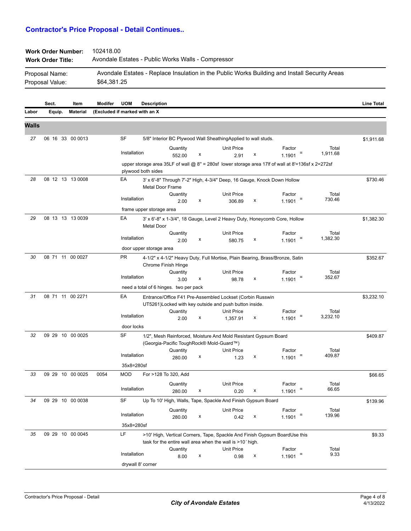| <b>Work Order Number:</b> | 102418.00                                                                                     |
|---------------------------|-----------------------------------------------------------------------------------------------|
| <b>Work Order Title:</b>  | Avondale Estates - Public Works Walls - Compressor                                            |
| Proposal Name:            | Avondale Estates - Replace Insulation in the Public Works Building and Install Security Areas |
| Proposal Value:           | \$64,381.25                                                                                   |

|              | Sect.  | Item             | Modifer                        | <b>UOM</b>               | <b>Description</b>       |                                        |                |                                                                                                                      |   |                                                                                                          |                   | <b>Line Total</b> |
|--------------|--------|------------------|--------------------------------|--------------------------|--------------------------|----------------------------------------|----------------|----------------------------------------------------------------------------------------------------------------------|---|----------------------------------------------------------------------------------------------------------|-------------------|-------------------|
| Labor        | Equip. | <b>Material</b>  | (Excluded if marked with an X) |                          |                          |                                        |                |                                                                                                                      |   |                                                                                                          |                   |                   |
| <b>Walls</b> |        |                  |                                |                          |                          |                                        |                |                                                                                                                      |   |                                                                                                          |                   |                   |
| 27           |        | 06 16 33 00 0013 |                                | SF                       |                          |                                        |                | 5/8" Interior BC Plywood Wall SheathingApplied to wall studs.                                                        |   |                                                                                                          |                   | \$1,911.68        |
|              |        |                  |                                | Installation             |                          | Quantity<br>552.00                     | $\pmb{\times}$ | <b>Unit Price</b><br>2.91                                                                                            | x | Factor<br>1.1901                                                                                         | Total<br>1,911.68 |                   |
|              |        |                  |                                |                          | plywood both sides       |                                        |                |                                                                                                                      |   | upper storage area 35LF of wall @ $8" = 280$ sf lower storage area 17lf of wall at $8'$ =136sf x 2=272sf |                   |                   |
| 28           |        | 08 12 13 13 0008 |                                | EA                       | <b>Metal Door Frame</b>  |                                        |                | 3' x 6'-8" Through 7'-2" High, 4-3/4" Deep, 16 Gauge, Knock Down Hollow                                              |   |                                                                                                          |                   | \$730.46          |
|              |        |                  |                                | Installation             |                          | Quantity<br>2.00                       | х              | <b>Unit Price</b><br>306.89                                                                                          | х | Factor<br>1.1901                                                                                         | Total<br>730.46   |                   |
|              |        |                  |                                |                          | frame upper storage area |                                        |                |                                                                                                                      |   |                                                                                                          |                   |                   |
| 29           |        | 08 13 13 13 0039 |                                | EA                       | <b>Metal Door</b>        |                                        |                | 3' x 6'-8" x 1-3/4", 18 Gauge, Level 2 Heavy Duty, Honeycomb Core, Hollow                                            |   |                                                                                                          |                   | \$1,382.30        |
|              |        |                  |                                | Installation             |                          | Quantity<br>2.00                       | x              | <b>Unit Price</b><br>580.75                                                                                          | х | Factor<br>1.1901                                                                                         | Total<br>1,382.30 |                   |
|              |        |                  |                                |                          | door upper storage area  |                                        |                |                                                                                                                      |   |                                                                                                          |                   |                   |
| 30           |        | 08 71 11 00 0027 |                                | <b>PR</b>                |                          | Chrome Finish Hinge                    |                | 4-1/2" x 4-1/2" Heavy Duty, Full Mortise, Plain Bearing, Brass/Bronze, Satin                                         |   |                                                                                                          |                   | \$352.67          |
|              |        |                  |                                | Installation             |                          | Quantity<br>3.00                       | x              | <b>Unit Price</b><br>98.78                                                                                           | x | Factor<br>Ξ<br>1.1901                                                                                    | Total<br>352.67   |                   |
|              |        |                  |                                |                          |                          | need a total of 6 hinges. two per pack |                |                                                                                                                      |   |                                                                                                          |                   |                   |
| 31           |        | 08 71 11 00 2271 |                                | EA                       |                          |                                        |                | Entrance/Office F41 Pre-Assembled Lockset (Corbin Russwin<br>UT5261) Locked with key outside and push button inside. |   |                                                                                                          |                   | \$3,232.10        |
|              |        |                  |                                | Installation             |                          | Quantity                               |                | Unit Price                                                                                                           |   | Factor                                                                                                   | Total             |                   |
|              |        |                  |                                | door locks               |                          | 2.00                                   | x              | 1,357.91                                                                                                             | х | Ξ<br>1.1901                                                                                              | 3,232.10          |                   |
| 32           |        | 09 29 10 00 0025 |                                | SF                       |                          |                                        |                | 1/2", Mesh Reinforced, Moisture And Mold Resistant Gypsum Board                                                      |   |                                                                                                          |                   | \$409.87          |
|              |        |                  |                                |                          |                          |                                        |                | (Georgia-Pacific ToughRock® Mold-Guard™)                                                                             |   |                                                                                                          |                   |                   |
|              |        |                  |                                | Installation             |                          | Quantity                               |                | Unit Price                                                                                                           |   | Factor                                                                                                   | Total<br>409.87   |                   |
|              |        |                  |                                |                          |                          | 280.00                                 | х              | 1.23                                                                                                                 | х | 1.1901                                                                                                   |                   |                   |
| 33           |        | 09 29 10 00 0025 | 0054                           | 35x8=280sf<br><b>MOD</b> |                          |                                        |                |                                                                                                                      |   |                                                                                                          |                   |                   |
|              |        |                  |                                |                          |                          | For >128 To 320, Add                   |                |                                                                                                                      |   |                                                                                                          |                   | \$66.65           |
|              |        |                  |                                | Installation             |                          | Quantity<br>280.00                     | х              | <b>Unit Price</b><br>0.20                                                                                            | х | Factor<br>1.1901                                                                                         | Total<br>66.65    |                   |
| 34           |        | 09 29 10 00 0038 |                                | SF                       |                          |                                        |                | Up To 10' High, Walls, Tape, Spackle And Finish Gypsum Board                                                         |   |                                                                                                          |                   | \$139.96          |
|              |        |                  |                                |                          |                          | Quantity                               |                | <b>Unit Price</b>                                                                                                    |   | Factor                                                                                                   | Total             |                   |
|              |        |                  |                                | Installation             |                          | 280.00                                 | х              | 0.42                                                                                                                 | x | 1.1901                                                                                                   | 139.96            |                   |
|              |        |                  |                                | 35x8=280sf               |                          |                                        |                |                                                                                                                      |   |                                                                                                          |                   |                   |
| 35           |        | 09 29 10 00 0045 |                                | LF                       |                          |                                        |                |                                                                                                                      |   | >10' High, Vertical Corners, Tape, Spackle And Finish Gypsum BoardUse this                               |                   | \$9.33            |
|              |        |                  |                                |                          |                          | Quantity                               |                | task for the entire wall area when the wall is >10' high.<br>Unit Price                                              |   | Factor                                                                                                   | Total             |                   |
|              |        |                  |                                | Installation             |                          | 8.00                                   | х              | 0.98                                                                                                                 | x | Ξ<br>1.1901                                                                                              | 9.33              |                   |
|              |        |                  |                                |                          | drywall 8' corner        |                                        |                |                                                                                                                      |   |                                                                                                          |                   |                   |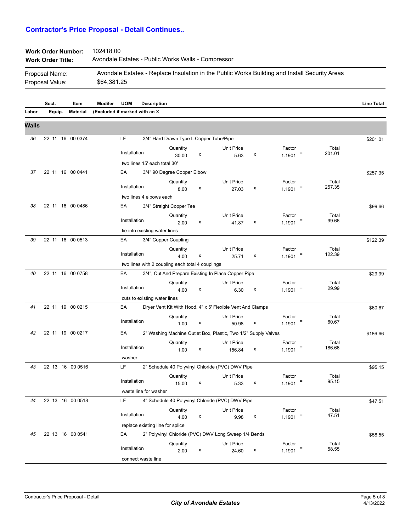| <b>Work Order Title:</b> | Avondale Estates - Public Works Walls - Compressor |
|--------------------------|----------------------------------------------------|
|                          |                                                    |

| Proposal Name:  | Avondale Estates - Replace Insulation in the Public Works Building and Install Security Areas |
|-----------------|-----------------------------------------------------------------------------------------------|
| Proposal Value: | \$64.381.25                                                                                   |

|              | Sect.            | Item            | Modifer                       | <b>UOM</b>   | <b>Description</b>                               |                                         |   |                                                                |   |                  |                 | <b>Line Total</b> |
|--------------|------------------|-----------------|-------------------------------|--------------|--------------------------------------------------|-----------------------------------------|---|----------------------------------------------------------------|---|------------------|-----------------|-------------------|
| Labor        | Equip.           | <b>Material</b> | (Excluded if marked with an X |              |                                                  |                                         |   |                                                                |   |                  |                 |                   |
| <b>Walls</b> |                  |                 |                               |              |                                                  |                                         |   |                                                                |   |                  |                 |                   |
|              |                  |                 |                               |              |                                                  |                                         |   |                                                                |   |                  |                 |                   |
| 36           | 22 11 16 00 0374 |                 |                               | LF           |                                                  | 3/4" Hard Drawn Type L Copper Tube/Pipe |   |                                                                |   |                  |                 | \$201.01          |
|              |                  |                 |                               | Installation |                                                  | Quantity                                |   | Unit Price                                                     |   | Factor           | Total           |                   |
|              |                  |                 |                               |              |                                                  | 30.00                                   | x | 5.63                                                           | х | Ξ<br>1.1901      | 201.01          |                   |
|              |                  |                 |                               |              | two lines 15' each total 30'                     |                                         |   |                                                                |   |                  |                 |                   |
| 37           | 22 11 16 00 0441 |                 |                               | EA           |                                                  | 3/4" 90 Degree Copper Elbow             |   |                                                                |   |                  |                 | \$257.35          |
|              |                  |                 |                               | Installation |                                                  | Quantity                                |   | <b>Unit Price</b>                                              |   | Factor<br>Ξ      | Total<br>257.35 |                   |
|              |                  |                 |                               |              |                                                  | 8.00                                    | X | 27.03                                                          | х | 1.1901           |                 |                   |
|              |                  |                 |                               |              | two lines 4 elbows each                          |                                         |   |                                                                |   |                  |                 |                   |
| 38           | 22 11 16 00 0486 |                 |                               | EA           |                                                  | 3/4" Straight Copper Tee                |   |                                                                |   |                  |                 | \$99.66           |
|              |                  |                 |                               | Installation |                                                  | Quantity                                | x | <b>Unit Price</b>                                              | х | Factor<br>1.1901 | Total<br>99.66  |                   |
|              |                  |                 |                               |              | tie into existing water lines                    | 2.00                                    |   | 41.87                                                          |   |                  |                 |                   |
| 39           | 22 11 16 00 0513 |                 |                               | EA           |                                                  |                                         |   |                                                                |   |                  |                 |                   |
|              |                  |                 |                               |              |                                                  | 3/4" Copper Coupling                    |   |                                                                |   |                  |                 | \$122.39          |
|              |                  |                 |                               | Installation |                                                  | Quantity<br>4.00                        | X | <b>Unit Price</b><br>25.71                                     | х | Factor<br>1.1901 | Total<br>122.39 |                   |
|              |                  |                 |                               |              | two lines with 2 coupling each total 4 couplings |                                         |   |                                                                |   |                  |                 |                   |
| 40           | 22 11 16 00 0758 |                 |                               | EA           |                                                  |                                         |   | 3/4", Cut And Prepare Existing In Place Copper Pipe            |   |                  |                 | \$29.99           |
|              |                  |                 |                               |              |                                                  | Quantity                                |   | <b>Unit Price</b>                                              |   | Factor           | Total           |                   |
|              |                  |                 |                               | Installation |                                                  | 4.00                                    | x | 6.30                                                           | х | Ξ<br>1.1901      | 29.99           |                   |
|              |                  |                 |                               |              | cuts to existing water lines                     |                                         |   |                                                                |   |                  |                 |                   |
| 41           | 22 11 19 00 0215 |                 |                               | EA           |                                                  |                                         |   | Dryer Vent Kit With Hood, 4" x 5' Flexible Vent And Clamps     |   |                  |                 | \$60.67           |
|              |                  |                 |                               |              |                                                  | Quantity                                |   | <b>Unit Price</b>                                              |   | Factor           | Total           |                   |
|              |                  |                 |                               | Installation |                                                  | 1.00                                    | x | 50.98                                                          | x | Ξ<br>1.1901      | 60.67           |                   |
| 42           | 22 11 19 00 0217 |                 |                               | EA           |                                                  |                                         |   | 2" Washing Machine Outlet Box, Plastic, Two 1/2" Supply Valves |   |                  |                 | \$186.66          |
|              |                  |                 |                               |              |                                                  | Quantity                                |   | Unit Price                                                     |   | Factor           | Total           |                   |
|              |                  |                 |                               | Installation |                                                  | 1.00                                    | x | 156.84                                                         | х | 1.1901           | 186.66          |                   |
|              |                  |                 |                               | washer       |                                                  |                                         |   |                                                                |   |                  |                 |                   |
| 43           | 22 13 16 00 0516 |                 |                               | LF           |                                                  |                                         |   | 2" Schedule 40 Polyvinyl Chloride (PVC) DWV Pipe               |   |                  |                 | \$95.15           |
|              |                  |                 |                               |              |                                                  | Quantity                                |   | <b>Unit Price</b>                                              |   | Factor           | Total           |                   |
|              |                  |                 |                               | Installation |                                                  | 15.00                                   | x | 5.33                                                           | х | 1.1901           | 95.15           |                   |
|              |                  |                 |                               |              | waste line for washer                            |                                         |   |                                                                |   |                  |                 |                   |
| 44           | 22 13 16 00 0518 |                 |                               | LF           |                                                  |                                         |   | 4" Schedule 40 Polyvinyl Chloride (PVC) DWV Pipe               |   |                  |                 | \$47.51           |
|              |                  |                 |                               | Installation |                                                  | Quantity                                |   | Unit Price                                                     |   | Factor           | Total           |                   |
|              |                  |                 |                               |              |                                                  | 4.00                                    | х | 9.98                                                           | x | 1.1901           | 47.51           |                   |
|              |                  |                 |                               |              | replace existing line for splice                 |                                         |   |                                                                |   |                  |                 |                   |
| 45           | 22 13 16 00 0541 |                 |                               | EA           |                                                  |                                         |   | 2" Polyvinyl Chloride (PVC) DWV Long Sweep 1/4 Bends           |   |                  |                 | \$58.55           |
|              |                  |                 |                               | Installation |                                                  | Quantity                                |   | Unit Price                                                     |   | Factor<br>Ξ      | Total<br>58.55  |                   |
|              |                  |                 |                               |              |                                                  | 2.00                                    | X | 24.60                                                          | X | 1.1901           |                 |                   |
|              |                  |                 |                               |              | connect waste line                               |                                         |   |                                                                |   |                  |                 |                   |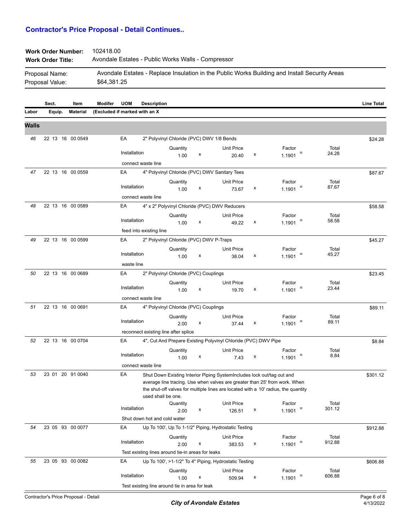| <b>Work Order Number:</b> | 102418.00                                          |
|---------------------------|----------------------------------------------------|
| <b>Work Order Title:</b>  | Avondale Estates - Public Works Walls - Compressor |

| Proposal Name:  | Avondale Estates - Replace Insulation in the Public Works Building and Install Security Areas |
|-----------------|-----------------------------------------------------------------------------------------------|
| Proposal Value: | \$64,381.25                                                                                   |

|              | Sect.  | Item             | <b>Modifer</b>                | <b>UOM</b>                                  | <b>Description</b>                                |                                         |   |                                                                                                                                                                                                                                            |   |                  |   |                 | <b>Line Total</b> |
|--------------|--------|------------------|-------------------------------|---------------------------------------------|---------------------------------------------------|-----------------------------------------|---|--------------------------------------------------------------------------------------------------------------------------------------------------------------------------------------------------------------------------------------------|---|------------------|---|-----------------|-------------------|
| Labor        | Equip. | <b>Material</b>  | (Excluded if marked with an X |                                             |                                                   |                                         |   |                                                                                                                                                                                                                                            |   |                  |   |                 |                   |
| <b>Walls</b> |        |                  |                               |                                             |                                                   |                                         |   |                                                                                                                                                                                                                                            |   |                  |   |                 |                   |
| 46           |        | 22 13 16 00 0549 |                               | EA                                          |                                                   |                                         |   | 2" Polyvinyl Chloride (PVC) DWV 1/8 Bends                                                                                                                                                                                                  |   |                  |   |                 | \$24.28           |
|              |        |                  |                               | Installation                                |                                                   | Quantity<br>1.00                        | х | <b>Unit Price</b><br>20.40                                                                                                                                                                                                                 | х | Factor<br>1.1901 | Ξ | Total<br>24.28  |                   |
|              |        |                  |                               |                                             | connect waste line                                |                                         |   |                                                                                                                                                                                                                                            |   |                  |   |                 |                   |
| 47           |        | 22 13 16 00 0559 |                               | EA                                          |                                                   |                                         |   | 4" Polyvinyl Chloride (PVC) DWV Sanitary Tees                                                                                                                                                                                              |   |                  |   |                 | \$87.67           |
|              |        |                  |                               | Installation                                |                                                   | Quantity                                | х | <b>Unit Price</b>                                                                                                                                                                                                                          | х | Factor           | Ξ | Total<br>87.67  |                   |
|              |        |                  |                               |                                             | connect waste line                                | 1.00                                    |   | 73.67                                                                                                                                                                                                                                      |   | 1.1901           |   |                 |                   |
| 48           |        | 22 13 16 00 0589 |                               | EA                                          |                                                   |                                         |   | 4" x 2" Polyvinyl Chloride (PVC) DWV Reducers                                                                                                                                                                                              |   |                  |   |                 | \$58.58           |
|              |        |                  |                               | Installation                                |                                                   | Quantity<br>1.00                        | х | <b>Unit Price</b><br>49.22                                                                                                                                                                                                                 | х | Factor<br>1.1901 | Ξ | Total<br>58.58  |                   |
|              |        |                  |                               |                                             | feed into existing line                           |                                         |   |                                                                                                                                                                                                                                            |   |                  |   |                 |                   |
| 49           |        | 22 13 16 00 0599 |                               | EA                                          |                                                   | 2" Polyvinyl Chloride (PVC) DWV P-Traps |   |                                                                                                                                                                                                                                            |   |                  |   |                 | \$45.27           |
|              |        |                  |                               |                                             |                                                   | Quantity                                |   | <b>Unit Price</b>                                                                                                                                                                                                                          |   | Factor           |   | Total           |                   |
|              |        |                  |                               | Installation<br>waste line                  |                                                   | 1.00                                    | х | 38.04                                                                                                                                                                                                                                      | х | 1.1901           |   | 45.27           |                   |
| 50           |        | 22 13 16 00 0689 |                               | EA                                          |                                                   | 2" Polyvinyl Chloride (PVC) Couplings   |   |                                                                                                                                                                                                                                            |   |                  |   |                 | \$23.45           |
|              |        |                  |                               | Installation                                |                                                   | Quantity                                |   | <b>Unit Price</b>                                                                                                                                                                                                                          |   | Factor           |   | Total<br>23.44  |                   |
|              |        |                  |                               |                                             | connect waste line                                | 1.00                                    | х | 19.70                                                                                                                                                                                                                                      | х | 1.1901           |   |                 |                   |
| 51           |        | 22 13 16 00 0691 |                               | EA<br>4" Polyvinyl Chloride (PVC) Couplings |                                                   |                                         |   |                                                                                                                                                                                                                                            |   | \$89.11          |   |                 |                   |
|              |        |                  |                               |                                             |                                                   | Quantity                                |   | Unit Price                                                                                                                                                                                                                                 |   | Factor           |   | Total           |                   |
|              |        |                  |                               | Installation                                |                                                   | 2.00                                    | x | 37.44                                                                                                                                                                                                                                      | x | 1.1901           | Ξ | 89.11           |                   |
| 52           |        | 22 13 16 00 0704 |                               | EA                                          | reconnect existing line after splice              |                                         |   | 4", Cut And Prepare Existing Polyvinyl Chloride (PVC) DWV Pipe                                                                                                                                                                             |   |                  |   |                 |                   |
|              |        |                  |                               |                                             |                                                   | Quantity                                |   | <b>Unit Price</b>                                                                                                                                                                                                                          |   | Factor           |   | Total           | \$8.84            |
|              |        |                  |                               | Installation                                |                                                   | 1.00                                    | x | 7.43                                                                                                                                                                                                                                       | х | 1.1901           |   | 8.84            |                   |
|              |        |                  |                               |                                             | connect waste line                                |                                         |   |                                                                                                                                                                                                                                            |   |                  |   |                 |                   |
| 53           |        | 23 01 20 91 0040 |                               | EA                                          | used shall be one.                                |                                         |   | Shut Down Existing Interior Piping SystemIncludes lock out/tag out and<br>average line tracing. Use when valves are greater than 25' from work. When<br>the shut-off valves for multiple lines are located with a 10' radius, the quantity |   |                  |   |                 | \$301.12          |
|              |        |                  |                               | Installation                                |                                                   | Quantity<br>2.00                        | x | Unit Price<br>126.51                                                                                                                                                                                                                       | х | Factor<br>1.1901 | Ξ | Total<br>301.12 |                   |
|              |        |                  |                               |                                             | Shut down hot and cold water                      |                                         |   |                                                                                                                                                                                                                                            |   |                  |   |                 |                   |
| 54           |        | 23 05 93 00 0077 |                               | EA                                          |                                                   |                                         |   | Up To 100', Up To 1-1/2" Piping, Hydrostatic Testing                                                                                                                                                                                       |   |                  |   |                 | \$912.88          |
|              |        |                  |                               | Installation                                |                                                   | Quantity<br>2.00                        | x | Unit Price<br>383.53                                                                                                                                                                                                                       | x | Factor<br>1.1901 |   | Total<br>912.88 |                   |
|              |        |                  |                               |                                             | Test existing lines around tie-in areas for leaks |                                         |   |                                                                                                                                                                                                                                            |   |                  |   |                 |                   |
| 55           |        | 23 05 93 00 0082 |                               | EA                                          |                                                   |                                         |   | Up To 100', >1-1/2" To 4" Piping, Hydrostatic Testing                                                                                                                                                                                      |   |                  |   |                 | \$606.88          |
|              |        |                  |                               | Installation                                |                                                   | Quantity                                |   | <b>Unit Price</b>                                                                                                                                                                                                                          |   | Factor           |   | Total<br>606.88 |                   |
|              |        |                  |                               |                                             | Test existing line around tie in area for leak    | 1.00                                    | х | 509.94                                                                                                                                                                                                                                     | x | 1.1901           |   |                 |                   |
|              |        |                  |                               |                                             |                                                   |                                         |   |                                                                                                                                                                                                                                            |   |                  |   |                 |                   |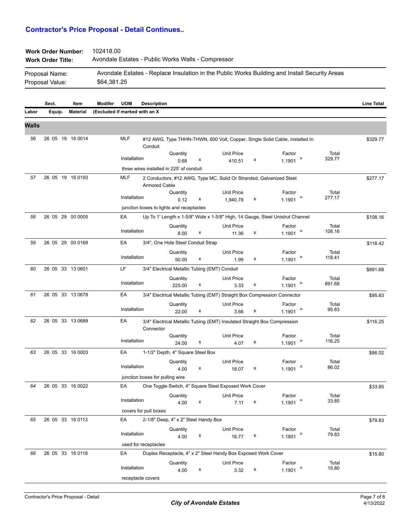\$64,381.25

Proposal Value:

| <b>Work Order Number:</b> | 102418.00                                                                                     |
|---------------------------|-----------------------------------------------------------------------------------------------|
| <b>Work Order Title:</b>  | Avondale Estates - Public Works Walls - Compressor                                            |
| Proposal Name:            | Avondale Estates - Replace Insulation in the Public Works Building and Install Security Areas |

|       | Sect.  | Item             | Modifer<br><b>UOM</b>         | <b>Description</b>                       |                                      |   |                                                                               |   |                  |                            | <b>Line Total</b> |
|-------|--------|------------------|-------------------------------|------------------------------------------|--------------------------------------|---|-------------------------------------------------------------------------------|---|------------------|----------------------------|-------------------|
| Labor | Equip. | <b>Material</b>  | (Excluded if marked with an X |                                          |                                      |   |                                                                               |   |                  |                            |                   |
| Walls |        |                  |                               |                                          |                                      |   |                                                                               |   |                  |                            |                   |
| 56    |        | 26 05 19 16 0014 | <b>MLF</b>                    | Conduit                                  |                                      |   | #12 AWG, Type THHN-THWN, 600 Volt, Copper, Single Solid Cable, Installed In   |   |                  |                            | \$329.77          |
|       |        |                  |                               |                                          | Quantity                             |   | <b>Unit Price</b>                                                             |   | Factor           | Total                      |                   |
|       |        |                  | Installation                  |                                          | 0.68                                 | х | 410.51                                                                        | х | 1.1901           | 329.77<br>Ξ                |                   |
|       |        |                  |                               | three wires installed in 225' of conduit |                                      |   |                                                                               |   |                  |                            |                   |
| 57    |        | 26 05 19 16 0193 | <b>MLF</b>                    | <b>Armored Cable</b>                     |                                      |   | 2 Conductors, #12 AWG, Type MC, Solid Or Stranded, Galvanized Steel           |   |                  |                            | \$277.17          |
|       |        |                  | Installation                  |                                          | Quantity<br>0.12                     | х | <b>Unit Price</b>                                                             | х | Factor<br>1.1901 | Total<br>277.17            |                   |
|       |        |                  |                               | junction boxes to lights and receptacles |                                      |   | 1,940.78                                                                      |   |                  |                            |                   |
| 58    |        | 26 05 29 00 0005 | EA                            |                                          |                                      |   | Up To 1' Length x 1-5/8" Wide x 1-5/8" High, 14 Gauge, Steel Unistrut Channel |   |                  |                            | \$108.16          |
|       |        |                  |                               |                                          | Quantity                             |   | <b>Unit Price</b>                                                             |   | Factor           | Total                      |                   |
|       |        |                  | Installation                  |                                          | 8.00                                 | x | 11.36                                                                         | x | 1.1901           | 108.16<br>Ξ                |                   |
| 59    |        | 26 05 29 00 0168 | EA                            |                                          | 3/4", One Hole Steel Conduit Strap   |   |                                                                               |   |                  |                            | \$118.42          |
|       |        |                  |                               |                                          | Quantity                             |   | <b>Unit Price</b>                                                             |   | Factor           | Total                      |                   |
|       |        |                  | Installation                  |                                          | 50.00                                | x | 1.99                                                                          | х | 1.1901           | 118.41                     |                   |
| 60    |        | 26 05 33 13 0601 | LF                            |                                          |                                      |   | 3/4" Electrical Metallic Tubing (EMT) Conduit                                 |   |                  |                            | \$891.68          |
|       |        |                  |                               |                                          | Quantity                             |   | <b>Unit Price</b>                                                             |   | Factor           | Total                      |                   |
|       |        |                  | Installation                  |                                          | 225.00                               | x | 3.33                                                                          | х | 1.1901           | 891.68<br>Ξ                |                   |
| 61    |        | 26 05 33 13 0678 | EA                            |                                          |                                      |   | 3/4" Electrical Metallic Tubing (EMT) Straight Box Compression Connector      |   |                  |                            | \$95.83           |
|       |        |                  |                               |                                          | Quantity                             |   | <b>Unit Price</b>                                                             |   | Factor           | Total                      |                   |
|       |        |                  | Installation                  |                                          | 22.00                                | x | 3.66                                                                          | x | 1.1901           | 95.83                      |                   |
| 62    |        | 26 05 33 13 0689 | EA                            | Connector                                |                                      |   | 3/4" Electrical Metallic Tubing (EMT) Insulated Straight Box Compression      |   |                  |                            | \$116.25          |
|       |        |                  | Installation                  |                                          | Quantity                             |   | <b>Unit Price</b>                                                             |   | Factor           | Total<br>116.25<br>Ξ       |                   |
|       |        |                  |                               |                                          | 24.00                                | х | 4.07                                                                          | х | 1.1901           |                            |                   |
| 63    |        | 26 05 33 16 0003 | EA                            |                                          | 1-1/2" Depth, 4" Square Steel Box    |   |                                                                               |   |                  |                            | \$86.02           |
|       |        |                  | Installation                  |                                          | Quantity                             |   | Unit Price                                                                    |   | Factor           | Total<br>86.02             |                   |
|       |        |                  |                               | junction boxes for pulling wire          | 4.00                                 | x | 18.07                                                                         | x | 1.1901           |                            |                   |
| 64    |        | 26 05 33 16 0022 | EA                            |                                          |                                      |   | One Toggle Switch, 4" Square Steel Exposed Work Cover                         |   |                  |                            | \$33.85           |
|       |        |                  |                               |                                          |                                      |   |                                                                               |   | Factor           |                            |                   |
|       |        |                  | Installation                  |                                          | Quantity<br>4.00                     | х | Unit Price<br>7.11                                                            | x | 1.1901           | Total<br>33.85<br>$\equiv$ |                   |
|       |        |                  |                               | covers for pull boxes                    |                                      |   |                                                                               |   |                  |                            |                   |
| 65    |        | 26 05 33 16 0113 | EA                            |                                          | 2-1/8" Deep, 4" x 2" Steel Handy Box |   |                                                                               |   |                  |                            | \$79.83           |
|       |        |                  |                               |                                          | Quantity                             |   | <b>Unit Price</b>                                                             |   | Factor           | Total                      |                   |
|       |        |                  | Installation                  |                                          | 4.00                                 | x | 16.77                                                                         | X | $1.1901$ =       | 79.83                      |                   |
|       |        |                  |                               | used for receptacles                     |                                      |   |                                                                               |   |                  |                            |                   |
| 66    |        | 26 05 33 16 0118 | EA                            |                                          |                                      |   | Duplex Receptacle, 4" x 2" Steel Handy Box Exposed Work Cover                 |   |                  |                            | \$15.80           |
|       |        |                  |                               |                                          | Quantity                             |   | <b>Unit Price</b>                                                             |   | Factor           | Total                      |                   |
|       |        |                  | Installation                  |                                          | 4.00                                 | х | 3.32                                                                          | x | 1.1901           | 15.80<br>Ξ                 |                   |
|       |        |                  |                               | receptacle covers                        |                                      |   |                                                                               |   |                  |                            |                   |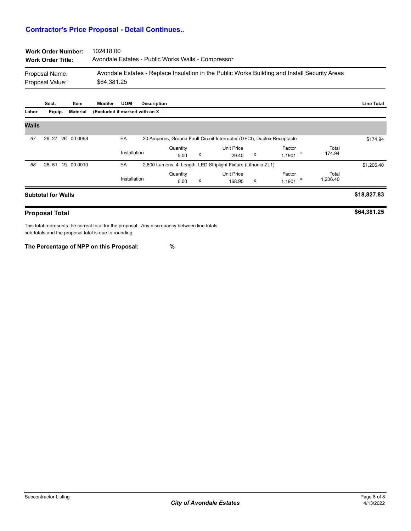| <b>Work Order Number:</b> | 102418.00                                                                                     |
|---------------------------|-----------------------------------------------------------------------------------------------|
| <b>Work Order Title:</b>  | Avondale Estates - Public Works Walls - Compressor                                            |
| Proposal Name:            | Avondale Estates - Replace Insulation in the Public Works Building and Install Security Areas |
| Proposal Value:           | \$64.381.25                                                                                   |

|              | Sect.                     | Item             | Modifer                        | <b>UOM</b>   | <b>Description</b> |                  |                                                                        |                                                                |   |                         |                   | <b>Line Total</b> |
|--------------|---------------------------|------------------|--------------------------------|--------------|--------------------|------------------|------------------------------------------------------------------------|----------------------------------------------------------------|---|-------------------------|-------------------|-------------------|
| Labor        | Equip.                    | Material         | (Excluded if marked with an X) |              |                    |                  |                                                                        |                                                                |   |                         |                   |                   |
| <b>Walls</b> |                           |                  |                                |              |                    |                  |                                                                        |                                                                |   |                         |                   |                   |
| 67           |                           | 26 27 26 00 0068 |                                | EA           |                    |                  | 20 Amperes, Ground Fault Circuit Interrupter (GFCI), Duplex Receptacle |                                                                |   |                         |                   | \$174.94          |
|              |                           |                  |                                | Installation |                    | Quantity<br>5.00 | х                                                                      | <b>Unit Price</b><br>29.40                                     | х | Factor<br>$=$<br>1.1901 | Total<br>174.94   |                   |
| 68           |                           | 26 51 19 00 0010 |                                | EA           |                    |                  |                                                                        | 2,800 Lumens, 4' Length, LED Striplight Fixture (Lithonia ZL1) |   |                         |                   | \$1,206.40        |
|              |                           |                  |                                | Installation |                    | Quantity<br>6.00 | х                                                                      | <b>Unit Price</b><br>168.95                                    | x | Factor<br>Ξ<br>1.1901   | Total<br>1,206.40 |                   |
|              | <b>Subtotal for Walls</b> |                  |                                |              |                    |                  |                                                                        |                                                                |   |                         |                   | \$18,827.83       |

#### **Proposal Total**

This total represents the correct total for the proposal. Any discrepancy between line totals, sub-totals and the proposal total is due to rounding.

**The Percentage of NPP on this Proposal: %**

**\$64,381.25**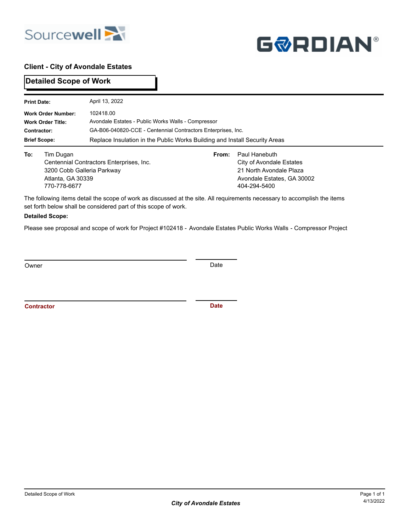



## **Client - City of Avondale Estates**

**Detailed Scope of Work**

| <b>Print Date:</b> |                                                                              | April 13, 2022                                                                                                                                                                                                |  |                                                                                                                    |  |  |  |  |  |  |  |
|--------------------|------------------------------------------------------------------------------|---------------------------------------------------------------------------------------------------------------------------------------------------------------------------------------------------------------|--|--------------------------------------------------------------------------------------------------------------------|--|--|--|--|--|--|--|
| Contractor:        | <b>Work Order Number:</b><br><b>Work Order Title:</b><br><b>Brief Scope:</b> | 102418.00<br>Avondale Estates - Public Works Walls - Compressor<br>GA-B06-040820-CCE - Centennial Contractors Enterprises, Inc.<br>Replace Insulation in the Public Works Building and Install Security Areas |  |                                                                                                                    |  |  |  |  |  |  |  |
| To:                | Tim Dugan<br>3200 Cobb Galleria Parkway<br>Atlanta, GA 30339<br>770-778-6677 | From:<br>Centennial Contractors Enterprises, Inc.                                                                                                                                                             |  | Paul Hanebuth<br>City of Avondale Estates<br>21 North Avondale Plaza<br>Avondale Estates, GA 30002<br>404-294-5400 |  |  |  |  |  |  |  |

The following items detail the scope of work as discussed at the site. All requirements necessary to accomplish the items set forth below shall be considered part of this scope of work.

#### **Detailed Scope:**

Please see proposal and scope of work for Project #102418 - Avondale Estates Public Works Walls - Compressor Project

Owner Date Communication of the Communication of the Communication of the Date

**Contractor Date**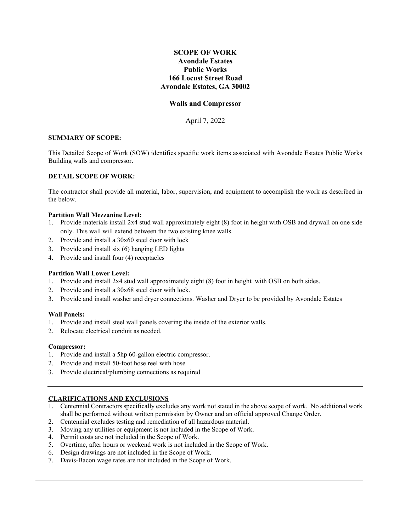#### **SCOPE OF WORK Avondale Estates Public Works 166 Locust Street Road Avondale Estates, GA 30002**

#### **Walls and Compressor**

April 7, 2022

#### **SUMMARY OF SCOPE:**

This Detailed Scope of Work (SOW) identifies specific work items associated with Avondale Estates Public Works Building walls and compressor.

#### **DETAIL SCOPE OF WORK:**

The contractor shall provide all material, labor, supervision, and equipment to accomplish the work as described in the below.

#### **Partition Wall Mezzanine Level:**

- 1. Provide materials install 2x4 stud wall approximately eight (8) foot in height with OSB and drywall on one side only. This wall will extend between the two existing knee walls.
- 2. Provide and install a 30x60 steel door with lock
- 3. Provide and install six (6) hanging LED lights
- 4. Provide and install four (4) receptacles

#### **Partition Wall Lower Level:**

- 1. Provide and install 2x4 stud wall approximately eight (8) foot in height with OSB on both sides.
- 2. Provide and install a 30x68 steel door with lock.
- 3. Provide and install washer and dryer connections. Washer and Dryer to be provided by Avondale Estates

#### **Wall Panels:**

- 1. Provide and install steel wall panels covering the inside of the exterior walls.
- 2. Relocate electrical conduit as needed.

#### **Compressor:**

- 1. Provide and install a 5hp 60-gallon electric compressor.
- 2. Provide and install 50-foot hose reel with hose
- 3. Provide electrical/plumbing connections as required

#### **CLARIFICATIONS AND EXCLUSIONS**

- 1. Centennial Contractors specifically excludes any work not stated in the above scope of work. No additional work shall be performed without written permission by Owner and an official approved Change Order.
- 2. Centennial excludes testing and remediation of all hazardous material.
- 3. Moving any utilities or equipment is not included in the Scope of Work.
- 4. Permit costs are not included in the Scope of Work.
- 5. Overtime, after hours or weekend work is not included in the Scope of Work.
- 6. Design drawings are not included in the Scope of Work.
- 7. Davis-Bacon wage rates are not included in the Scope of Work.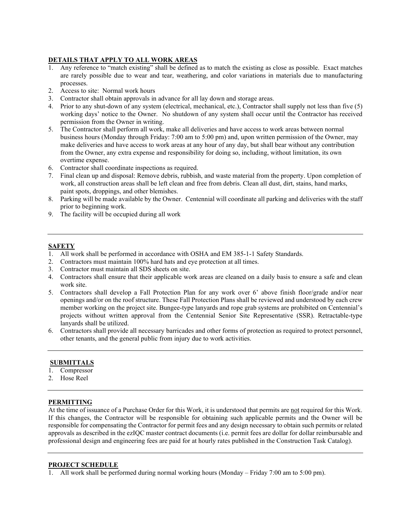#### **DETAILS THAT APPLY TO ALL WORK AREAS**

- 1. Any reference to "match existing" shall be defined as to match the existing as close as possible. Exact matches are rarely possible due to wear and tear, weathering, and color variations in materials due to manufacturing processes.
- 2. Access to site: Normal work hours
- 3. Contractor shall obtain approvals in advance for all lay down and storage areas.
- 4. Prior to any shut-down of any system (electrical, mechanical, etc.), Contractor shall supply not less than five (5) working days' notice to the Owner. No shutdown of any system shall occur until the Contractor has received permission from the Owner in writing.
- 5. The Contractor shall perform all work, make all deliveries and have access to work areas between normal business hours (Monday through Friday: 7:00 am to 5:00 pm) and, upon written permission of the Owner, may make deliveries and have access to work areas at any hour of any day, but shall bear without any contribution from the Owner, any extra expense and responsibility for doing so, including, without limitation, its own overtime expense.
- 6. Contractor shall coordinate inspections as required.
- 7. Final clean up and disposal: Remove debris, rubbish, and waste material from the property. Upon completion of work, all construction areas shall be left clean and free from debris. Clean all dust, dirt, stains, hand marks, paint spots, droppings, and other blemishes.
- 8. Parking will be made available by the Owner. Centennial will coordinate all parking and deliveries with the staff prior to beginning work.
- 9. The facility will be occupied during all work

#### **SAFETY**

- 1. All work shall be performed in accordance with OSHA and EM 385-1-1 Safety Standards.
- 2. Contractors must maintain 100% hard hats and eye protection at all times.
- 3. Contractor must maintain all SDS sheets on site.
- 4. Contractors shall ensure that their applicable work areas are cleaned on a daily basis to ensure a safe and clean work site.
- 5. Contractors shall develop a Fall Protection Plan for any work over 6' above finish floor/grade and/or near openings and/or on the roof structure. These Fall Protection Plans shall be reviewed and understood by each crew member working on the project site. Bungee-type lanyards and rope grab systems are prohibited on Centennial's projects without written approval from the Centennial Senior Site Representative (SSR). Retractable-type lanyards shall be utilized.
- 6. Contractors shall provide all necessary barricades and other forms of protection as required to protect personnel, other tenants, and the general public from injury due to work activities.

#### **SUBMITTALS**

- 1. Compressor
- 2. Hose Reel

#### **PERMITTING**

At the time of issuance of a Purchase Order for this Work, it is understood that permits are not required for this Work. If this changes, the Contractor will be responsible for obtaining such applicable permits and the Owner will be responsible for compensating the Contractor for permit fees and any design necessary to obtain such permits or related approvals as described in the ezIQC master contract documents (i.e. permit fees are dollar for dollar reimbursable and professional design and engineering fees are paid for at hourly rates published in the Construction Task Catalog).

#### **PROJECT SCHEDULE**

1. All work shall be performed during normal working hours (Monday – Friday 7:00 am to 5:00 pm).